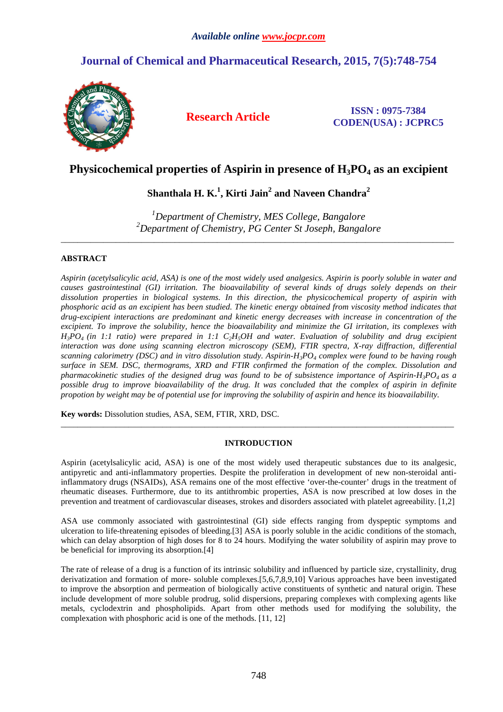# **Journal of Chemical and Pharmaceutical Research, 2015, 7(5):748-754**



**Research Article ISSN : 0975-7384 CODEN(USA) : JCPRC5**

# **Physicochemical properties of Aspirin in presence of H3PO4 as an excipient**

# **Shanthala H. K.<sup>1</sup> , Kirti Jain<sup>2</sup> and Naveen Chandra<sup>2</sup>**

*<sup>1</sup>Department of Chemistry, MES College, Bangalore <sup>2</sup>Department of Chemistry, PG Center St Joseph, Bangalore* 

\_\_\_\_\_\_\_\_\_\_\_\_\_\_\_\_\_\_\_\_\_\_\_\_\_\_\_\_\_\_\_\_\_\_\_\_\_\_\_\_\_\_\_\_\_\_\_\_\_\_\_\_\_\_\_\_\_\_\_\_\_\_\_\_\_\_\_\_\_\_\_\_\_\_\_\_\_\_\_\_\_\_\_\_\_\_\_\_\_\_\_\_\_

# **ABSTRACT**

*Aspirin (acetylsalicylic acid, ASA) is one of the most widely used analgesics. Aspirin is poorly soluble in water and causes gastrointestinal (GI) irritation. The bioavailability of several kinds of drugs solely depends on their dissolution properties in biological systems. In this direction, the physicochemical property of aspirin with phosphoric acid as an excipient has been studied. The kinetic energy obtained from viscosity method indicates that drug-excipient interactions are predominant and kinetic energy decreases with increase in concentration of the excipient. To improve the solubility, hence the bioavailability and minimize the GI irritation, its complexes with*   $H_3PO_4$  (in 1:1 ratio) were prepared in 1:1  $C_2H_5OH$  and water. Evaluation of solubility and drug excipient *interaction was done using scanning electron microscopy (SEM), FTIR spectra, X-ray diffraction, differential scanning calorimetry (DSC) and in vitro dissolution study. Aspirin-H3PO4 complex were found to be having rough surface in SEM. DSC, thermograms, XRD and FTIR confirmed the formation of the complex. Dissolution and pharmacokinetic studies of the designed drug was found to be of subsistence importance of Aspirin-H3PO4 as a possible drug to improve bioavailability of the drug. It was concluded that the complex of aspirin in definite propotion by weight may be of potential use for improving the solubility of aspirin and hence its bioavailability.* 

**Key words:** Dissolution studies, ASA, SEM, FTIR, XRD, DSC.

# **INTRODUCTION**

 $\overline{a}$  , and the contribution of the contribution of the contribution of the contribution of the contribution of the contribution of the contribution of the contribution of the contribution of the contribution of the co

Aspirin (acetylsalicylic acid, ASA) is one of the most widely used therapeutic substances due to its analgesic, antipyretic and anti-inflammatory properties. Despite the proliferation in development of new non-steroidal antiinflammatory drugs (NSAIDs), ASA remains one of the most effective 'over-the-counter' drugs in the treatment of rheumatic diseases. Furthermore, due to its antithrombic properties, ASA is now prescribed at low doses in the prevention and treatment of cardiovascular diseases, strokes and disorders associated with platelet agreeability. [1,2]

ASA use commonly associated with gastrointestinal (GI) side effects ranging from dyspeptic symptoms and ulceration to life-threatening episodes of bleeding.[3] ASA is poorly soluble in the acidic conditions of the stomach, which can delay absorption of high doses for 8 to 24 hours. Modifying the water solubility of aspirin may prove to be beneficial for improving its absorption.[4]

The rate of release of a drug is a function of its intrinsic solubility and influenced by particle size, crystallinity, drug derivatization and formation of more- soluble complexes.[5,6,7,8,9,10] Various approaches have been investigated to improve the absorption and permeation of biologically active constituents of synthetic and natural origin. These include development of more soluble prodrug, solid dispersions, preparing complexes with complexing agents like metals, cyclodextrin and phospholipids. Apart from other methods used for modifying the solubility, the complexation with phosphoric acid is one of the methods. [11, 12]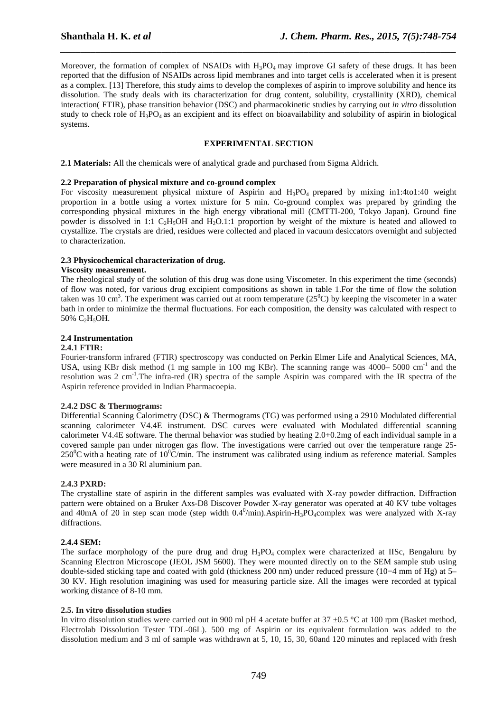Moreover, the formation of complex of NSAIDs with  $H_3PO_4$  may improve GI safety of these drugs. It has been reported that the diffusion of NSAIDs across lipid membranes and into target cells is accelerated when it is present as a complex. [13] Therefore, this study aims to develop the complexes of aspirin to improve solubility and hence its dissolution. The study deals with its characterization for drug content, solubility, crystallinity (XRD), chemical interaction( FTIR), phase transition behavior (DSC) and pharmacokinetic studies by carrying out *in vitro* dissolution study to check role of  $H_3PO_4$  as an excipient and its effect on bioavailability and solubility of aspirin in biological systems.

*\_\_\_\_\_\_\_\_\_\_\_\_\_\_\_\_\_\_\_\_\_\_\_\_\_\_\_\_\_\_\_\_\_\_\_\_\_\_\_\_\_\_\_\_\_\_\_\_\_\_\_\_\_\_\_\_\_\_\_\_\_\_\_\_\_\_\_\_\_\_\_\_\_\_\_\_\_\_* 

## **EXPERIMENTAL SECTION**

**2.1 Materials:** All the chemicals were of analytical grade and purchased from Sigma Aldrich.

### **2.2 Preparation of physical mixture and co-ground complex**

For viscosity measurement physical mixture of Aspirin and H<sub>3</sub>PO<sub>4</sub> prepared by mixing in1:4to1:40 weight proportion in a bottle using a vortex mixture for 5 min. Co-ground complex was prepared by grinding the corresponding physical mixtures in the high energy vibrational mill (CMTTI-200, Tokyo Japan). Ground fine powder is dissolved in 1:1 C<sub>2</sub>H<sub>5</sub>OH and H<sub>2</sub>O.1:1 proportion by weight of the mixture is heated and allowed to crystallize. The crystals are dried, residues were collected and placed in vacuum desiccators overnight and subjected to characterization.

### **2.3 Physicochemical characterization of drug.**

### **Viscosity measurement.**

The rheological study of the solution of this drug was done using Viscometer. In this experiment the time (seconds) of flow was noted, for various drug excipient compositions as shown in table 1.For the time of flow the solution taken was 10 cm<sup>3</sup>. The experiment was carried out at room temperature (25<sup>0</sup>C) by keeping the viscometer in a water bath in order to minimize the thermal fluctuations. For each composition, the density was calculated with respect to 50%  $C_2H_5OH$ .

## **2.4 Instrumentation**

## **2.4.1 FTIR:**

Fourier-transform infrared (FTIR) spectroscopy was conducted on Perkin Elmer Life and Analytical Sciences, MA, USA, using KBr disk method (1 mg sample in 100 mg KBr). The scanning range was  $4000-5000$  cm<sup>-1</sup> and the resolution was 2 cm<sup>-1</sup>. The infra-red (IR) spectra of the sample Aspirin was compared with the IR spectra of the Aspirin reference provided in Indian Pharmacoepia.

## **2.4.2 DSC & Thermograms:**

Differential Scanning Calorimetry (DSC) & Thermograms (TG) was performed using a 2910 Modulated differential scanning calorimeter V4.4E instrument. DSC curves were evaluated with Modulated differential scanning calorimeter V4.4E software. The thermal behavior was studied by heating 2.0+0.2mg of each individual sample in a covered sample pan under nitrogen gas flow. The investigations were carried out over the temperature range 25-  $250^{\circ}$ C with a heating rate of 10<sup>o</sup>C/min. The instrument was calibrated using indium as reference material. Samples were measured in a 30 Rl aluminium pan.

#### **2.4.3 PXRD:**

The crystalline state of aspirin in the different samples was evaluated with X-ray powder diffraction. Diffraction pattern were obtained on a Bruker Axs-D8 Discover Powder X-ray generator was operated at 40 KV tube voltages and 40mA of 20 in step scan mode (step width  $0.4^0/\text{min}$ ).Aspirin-H<sub>3</sub>PO<sub>4</sub>complex was were analyzed with X-ray diffractions.

## **2.4.4 SEM:**

The surface morphology of the pure drug and drug  $H_3PO_4$  complex were characterized at IISc, Bengaluru by Scanning Electron Microscope (JEOL JSM 5600). They were mounted directly on to the SEM sample stub using double-sided sticking tape and coated with gold (thickness 200 nm) under reduced pressure (10−4 mm of Hg) at 5– 30 KV. High resolution imagining was used for measuring particle size. All the images were recorded at typical working distance of 8-10 mm.

#### **2.5. In vitro dissolution studies**

In vitro dissolution studies were carried out in 900 ml pH 4 acetate buffer at  $37 \pm 0.5$  °C at 100 rpm (Basket method, Electrolab Dissolution Tester TDL-06L). 500 mg of Aspirin or its equivalent formulation was added to the dissolution medium and 3 ml of sample was withdrawn at 5, 10, 15, 30, 60and 120 minutes and replaced with fresh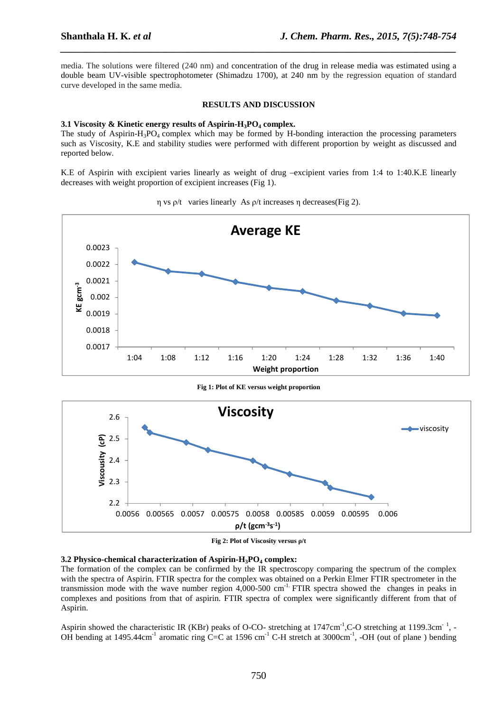media. The solutions were filtered (240 nm) and concentration of the drug in release media was estimated using a double beam UV-visible spectrophotometer (Shimadzu 1700), at 240 nm by the regression equation of standard curve developed in the same media.

*\_\_\_\_\_\_\_\_\_\_\_\_\_\_\_\_\_\_\_\_\_\_\_\_\_\_\_\_\_\_\_\_\_\_\_\_\_\_\_\_\_\_\_\_\_\_\_\_\_\_\_\_\_\_\_\_\_\_\_\_\_\_\_\_\_\_\_\_\_\_\_\_\_\_\_\_\_\_* 

#### **RESULTS AND DISCUSSION**

#### **3.1 Viscosity & Kinetic energy results of Aspirin-H3PO4 complex.**

The study of Aspirin-H<sub>3</sub>PO<sub>4</sub> complex which may be formed by H-bonding interaction the processing parameters such as Viscosity, K.E and stability studies were performed with different proportion by weight as discussed and reported below.

K.E of Aspirin with excipient varies linearly as weight of drug –excipient varies from 1:4 to 1:40.K.E linearly decreases with weight proportion of excipient increases (Fig 1).



η vs ρ/t varies linearly As ρ/t increases η decreases(Fig 2).



**Fig 1: Plot of KE versus weight proportion** 

**Fig 2: Plot of Viscosity versus ρ/t** 

## **3.2 Physico-chemical characterization of Aspirin-H3PO4 complex:**

The formation of the complex can be confirmed by the IR spectroscopy comparing the spectrum of the complex with the spectra of Aspirin. FTIR spectra for the complex was obtained on a Perkin Elmer FTIR spectrometer in the transmission mode with the wave number region 4,000-500 cm-1. FTIR spectra showed the changes in peaks in complexes and positions from that of aspirin. FTIR spectra of complex were significantly different from that of Aspirin.

Aspirin showed the characteristic IR (KBr) peaks of O-CO- stretching at 1747cm<sup>-1</sup>,C-O stretching at 1199.3cm<sup>-1</sup>, -OH bending at  $1495.44 \text{cm}^{-1}$  aromatic ring C=C at  $1596 \text{ cm}^{-1}$  C-H stretch at  $3000 \text{cm}^{-1}$ , -OH (out of plane) bending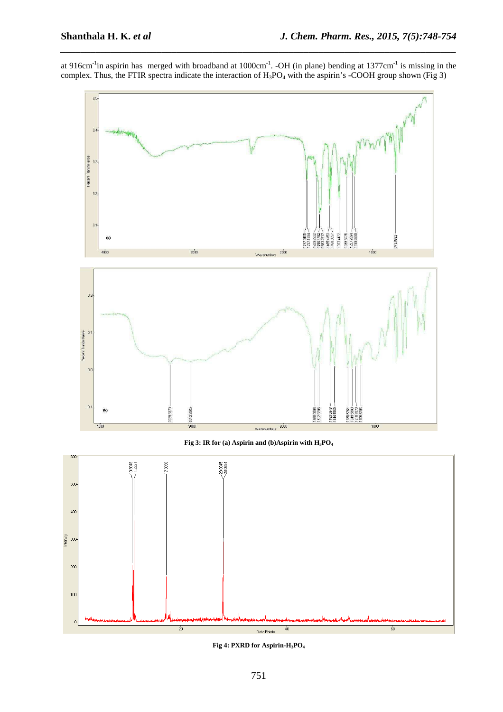$200$ 

 $100$ 

at 916cm<sup>-1</sup>in aspirin has merged with broadband at  $1000 \text{cm}^{-1}$ . -OH (in plane) bending at  $1377 \text{cm}^{-1}$  is missing in the complex. Thus, the FTIR spectra indicate the interaction of  $H_3PO_4$  with the aspirin's -COOH group shown (Fig 3)

*\_\_\_\_\_\_\_\_\_\_\_\_\_\_\_\_\_\_\_\_\_\_\_\_\_\_\_\_\_\_\_\_\_\_\_\_\_\_\_\_\_\_\_\_\_\_\_\_\_\_\_\_\_\_\_\_\_\_\_\_\_\_\_\_\_\_\_\_\_\_\_\_\_\_\_\_\_\_* 





**Fig 4: PXRD for Aspirin-H3PO4**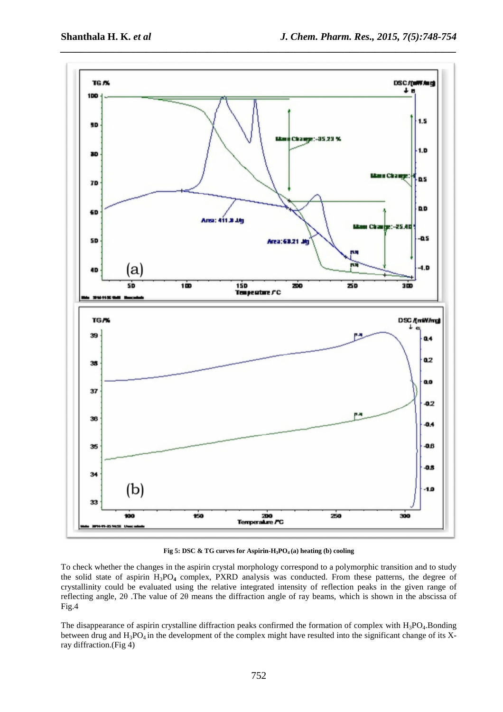

**Fig 5: DSC & TG curves for Aspirin-H3PO4 (a) heating (b) cooling** 

To check whether the changes in the aspirin crystal morphology correspond to a polymorphic transition and to study the solid state of aspirin H3PO**4** complex, PXRD analysis was conducted. From these patterns, the degree of crystallinity could be evaluated using the relative integrated intensity of reflection peaks in the given range of reflecting angle, 2θ .The value of 2θ means the diffraction angle of ray beams, which is shown in the abscissa of Fig.4

The disappearance of aspirin crystalline diffraction peaks confirmed the formation of complex with  $H_3PO_4$ .Bonding between drug and  $H_3PO_4$  in the development of the complex might have resulted into the significant change of its Xray diffraction.(Fig 4)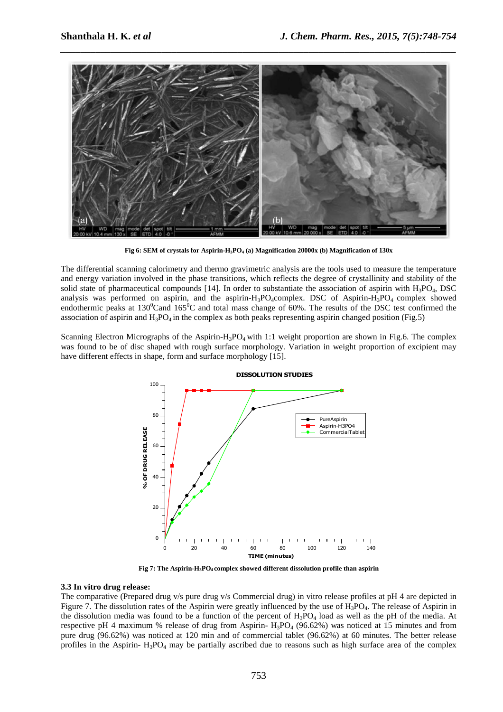

**Fig 6: SEM of crystals for Aspirin-H3PO4 (a) Magnification 20000x (b) Magnification of 130x**

The differential scanning calorimetry and thermo gravimetric analysis are the tools used to measure the temperature and energy variation involved in the phase transitions, which reflects the degree of crystallinity and stability of the solid state of pharmaceutical compounds [14]. In order to substantiate the association of aspirin with  $H_3PO_4$ , DSC analysis was performed on aspirin, and the aspirin-H<sub>3</sub>PO<sub>4</sub>complex. DSC of Aspirin-H<sub>3</sub>PO<sub>4</sub> complex showed endothermic peaks at  $130^{\circ}$ Cand  $165^{\circ}$ C and total mass change of 60%. The results of the DSC test confirmed the association of aspirin and  $H_3PO_4$  in the complex as both peaks representing aspirin changed position (Fig.5)

Scanning Electron Micrographs of the Aspirin-H<sub>3</sub>PO<sub>4</sub> with 1:1 weight proportion are shown in Fig.6. The complex was found to be of disc shaped with rough surface morphology. Variation in weight proportion of excipient may have different effects in shape, form and surface morphology [15].



**Fig 7: The Aspirin-H3PO4 complex showed different dissolution profile than aspirin** 

## **3.3 In vitro drug release:**

The comparative (Prepared drug v/s pure drug v/s Commercial drug) in vitro release profiles at pH 4 are depicted in Figure 7. The dissolution rates of the Aspirin were greatly influenced by the use of H<sub>3</sub>PO<sub>4</sub>. The release of Aspirin in the dissolution media was found to be a function of the percent of  $H_3PO_4$  load as well as the pH of the media. At respective pH 4 maximum % release of drug from Aspirin-  $H_3PO_4$  (96.62%) was noticed at 15 minutes and from pure drug (96.62%) was noticed at 120 min and of commercial tablet (96.62%) at 60 minutes. The better release profiles in the Aspirin-  $H_3PO_4$  may be partially ascribed due to reasons such as high surface area of the complex